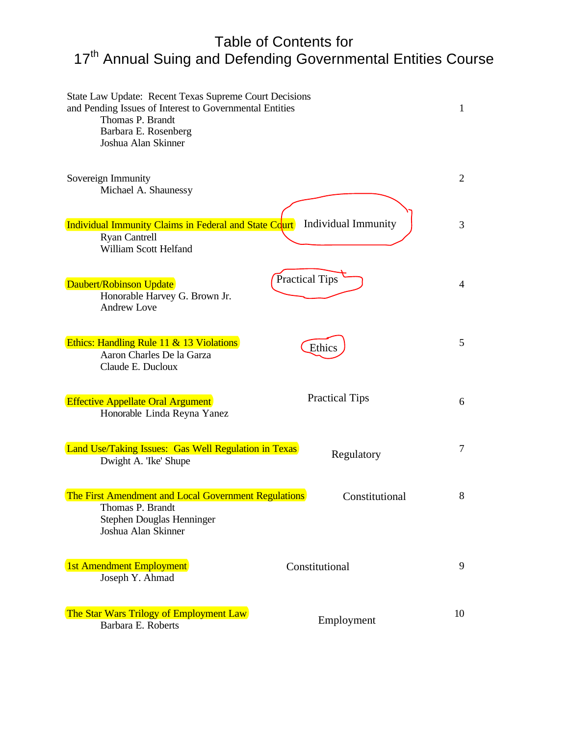# Table of Contents for 17<sup>th</sup> Annual Suing and Defending Governmental Entities Course

| State Law Update: Recent Texas Supreme Court Decisions<br>and Pending Issues of Interest to Governmental Entities<br>Thomas P. Brandt<br>Barbara E. Rosenberg<br>Joshua Alan Skinner |                            | 1  |
|--------------------------------------------------------------------------------------------------------------------------------------------------------------------------------------|----------------------------|----|
| Sovereign Immunity<br>Michael A. Shaunessy                                                                                                                                           |                            | 2  |
| Individual Immunity Claims in Federal and State Court<br><b>Ryan Cantrell</b><br>William Scott Helfand                                                                               | <b>Individual Immunity</b> | 3  |
| Daubert/Robinson Update<br>Honorable Harvey G. Brown Jr.<br><b>Andrew Love</b>                                                                                                       | <b>Practical Tips</b>      | 4  |
| Ethics: Handling Rule 11 & 13 Violations<br>Aaron Charles De la Garza<br>Claude E. Ducloux                                                                                           | Ethics                     | 5  |
| <b>Effective Appellate Oral Argument</b><br>Honorable Linda Reyna Yanez                                                                                                              | <b>Practical Tips</b>      | 6  |
| Land Use/Taking Issues: Gas Well Regulation in Texas<br>Dwight A. Tke' Shupe                                                                                                         | Regulatory                 | 7  |
| The First Amendment and Local Government Regulations<br>Thomas P. Brandt<br>Stephen Douglas Henninger<br>Joshua Alan Skinner                                                         | Constitutional             | 8  |
| 1st Amendment Employment<br>Joseph Y. Ahmad                                                                                                                                          | Constitutional             | 9  |
| The Star Wars Trilogy of Employment Law<br>Barbara E. Roberts                                                                                                                        | Employment                 | 10 |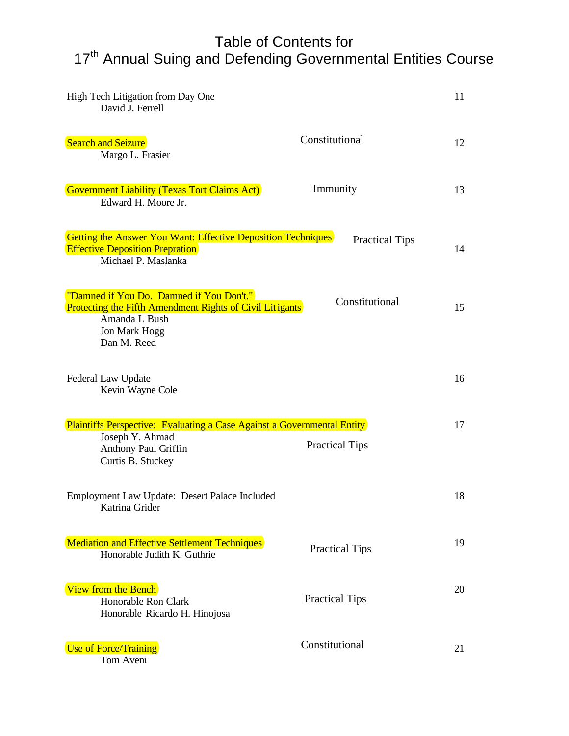# Table of Contents for 17th Annual Suing and Defending Governmental Entities Course

| High Tech Litigation from Day One<br>David J. Ferrell                                                                                                        |                       | 11 |
|--------------------------------------------------------------------------------------------------------------------------------------------------------------|-----------------------|----|
| <b>Search and Seizure</b><br>Margo L. Frasier                                                                                                                | Constitutional        | 12 |
| <b>Government Liability (Texas Tort Claims Act)</b><br>Edward H. Moore Jr.                                                                                   | Immunity              | 13 |
| <b>Getting the Answer You Want: Effective Deposition Techniques</b><br><b>Effective Deposition Prepration</b><br>Michael P. Maslanka                         | <b>Practical Tips</b> | 14 |
| "Damned if You Do. Damned if You Don't."<br><b>Protecting the Fifth Amendment Rights of Civil Litigants</b><br>Amanda L Bush<br>Jon Mark Hogg<br>Dan M. Reed | Constitutional        | 15 |
| Federal Law Update<br>Kevin Wayne Cole                                                                                                                       |                       | 16 |
| <b>Plaintiffs Perspective: Evaluating a Case Against a Governmental Entity</b>                                                                               |                       | 17 |
| Joseph Y. Ahmad<br>Anthony Paul Griffin<br>Curtis B. Stuckey                                                                                                 | <b>Practical Tips</b> |    |
| Employment Law Update: Desert Palace Included<br>Katrina Grider                                                                                              |                       | 18 |
| <b>Mediation and Effective Settlement Techniques</b><br>Honorable Judith K. Guthrie                                                                          | <b>Practical Tips</b> | 19 |
| View from the Bench<br>Honorable Ron Clark<br>Honorable Ricardo H. Hinojosa                                                                                  | <b>Practical Tips</b> | 20 |
| <b>Use of Force/Training</b><br>Tom Aveni                                                                                                                    | Constitutional        | 21 |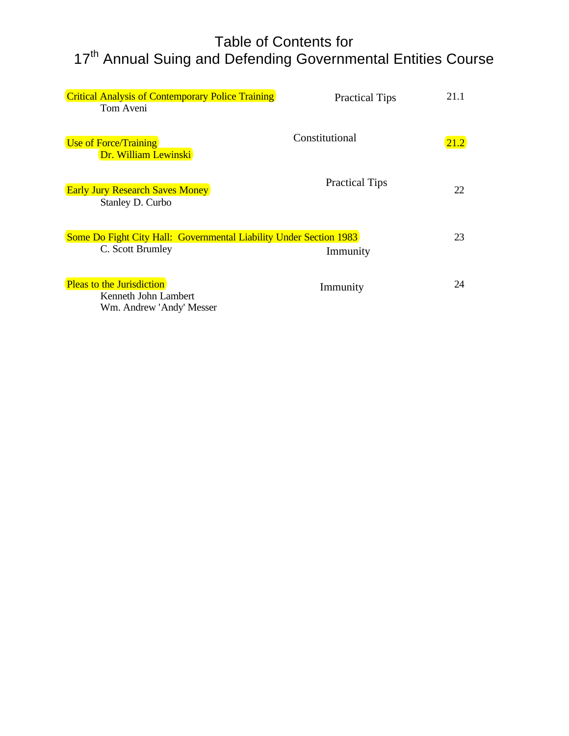# Table of Contents for 17th Annual Suing and Defending Governmental Entities Course

| <b>Critical Analysis of Contemporary Police Training</b><br>Tom Aveni                         | <b>Practical Tips</b> | 21.1 |
|-----------------------------------------------------------------------------------------------|-----------------------|------|
| <b>Use of Force/Training</b><br>Dr. William Lewinski                                          | Constitutional        | 21.2 |
| <b>Early Jury Research Saves Money</b><br>Stanley D. Curbo                                    | <b>Practical Tips</b> | 22   |
| <b>Some Do Fight City Hall: Governmental Liability Under Section 1983</b><br>C. Scott Brumley | Immunity              | 23   |
| <b>Pleas to the Jurisdiction</b><br>Kenneth John Lambert<br>Wm. Andrew 'Andy' Messer          | Immunity              | 24   |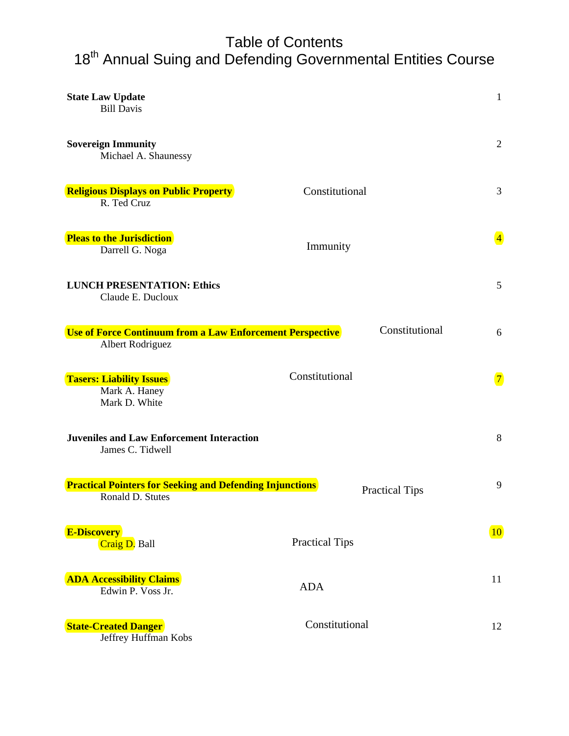### Table of Contents 18<sup>th</sup> Annual Suing and Defending Governmental Entities Course

| <b>State Law Update</b><br><b>Bill Davis</b>                                         |                       | $\mathbf{1}$   |
|--------------------------------------------------------------------------------------|-----------------------|----------------|
| <b>Sovereign Immunity</b><br>Michael A. Shaunessy                                    |                       | $\mathfrak{2}$ |
| <b>Religious Displays on Public Property</b><br>R. Ted Cruz                          | Constitutional        | 3              |
| <b>Pleas to the Jurisdiction</b><br>Darrell G. Noga                                  | Immunity              | $\overline{4}$ |
| <b>LUNCH PRESENTATION: Ethics</b><br>Claude E. Ducloux                               |                       | 5              |
| <b>Use of Force Continuum from a Law Enforcement Perspective</b><br>Albert Rodriguez | Constitutional        | 6              |
| <b>Tasers: Liability Issues</b><br>Mark A. Haney<br>Mark D. White                    | Constitutional        | $\boxed{7}$    |
| <b>Juveniles and Law Enforcement Interaction</b><br>James C. Tidwell                 |                       | 8              |
| <b>Practical Pointers for Seeking and Defending Injunctions</b><br>Ronald D. Stutes  | <b>Practical Tips</b> | 9              |
| <b>E-Discovery</b><br>Craig D. Ball                                                  | <b>Practical Tips</b> | 10             |
| <b>ADA Accessibility Claims</b><br>Edwin P. Voss Jr.                                 | <b>ADA</b>            | 11             |
| <b>State-Created Danger</b><br>Jeffrey Huffman Kobs                                  | Constitutional        | 12             |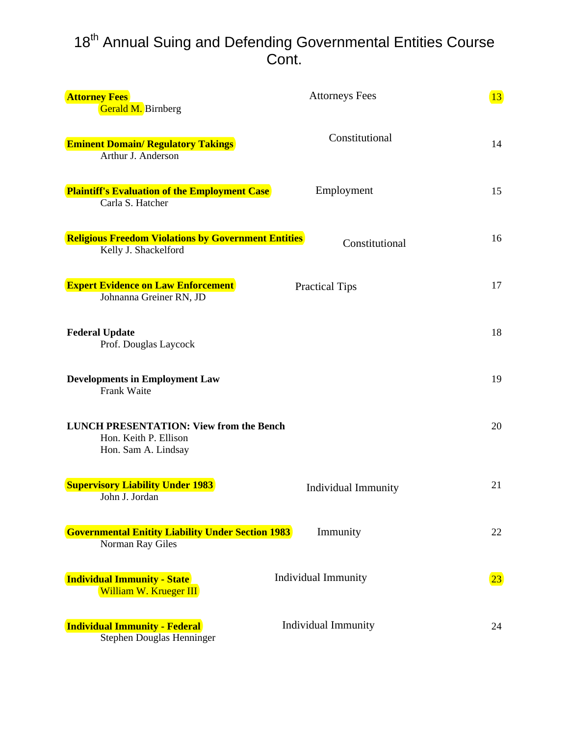### 18<sup>th</sup> Annual Suing and Defending Governmental Entities Course Cont.

| <b>Attorney Fees</b><br>Gerald M. Birnberg                                                     | <b>Attorneys Fees</b>      | 13           |
|------------------------------------------------------------------------------------------------|----------------------------|--------------|
| <b>Eminent Domain/ Regulatory Takings</b><br>Arthur J. Anderson                                | Constitutional             | 14           |
| <b>Plaintiff's Evaluation of the Employment Case</b><br>Carla S. Hatcher                       | Employment                 | 15           |
| <b>Religious Freedom Violations by Government Entities</b><br>Kelly J. Shackelford             | Constitutional             | 16           |
| <b>Expert Evidence on Law Enforcement</b><br>Johnanna Greiner RN, JD                           | <b>Practical Tips</b>      | 17           |
| <b>Federal Update</b><br>Prof. Douglas Laycock                                                 |                            | 18           |
| <b>Developments in Employment Law</b><br><b>Frank Waite</b>                                    |                            | 19           |
| <b>LUNCH PRESENTATION: View from the Bench</b><br>Hon. Keith P. Ellison<br>Hon. Sam A. Lindsay |                            | 20           |
| <b>Supervisory Liability Under 1983</b><br>John J. Jordan                                      | <b>Individual Immunity</b> | 21           |
| <b>Governmental Enitity Liability Under Section 1983</b><br>Norman Ray Giles                   | Immunity                   | 22           |
| <b>Individual Immunity - State</b><br>William W. Krueger III                                   | <b>Individual Immunity</b> | $\boxed{23}$ |
| <b>Individual Immunity - Federal</b><br>Stephen Douglas Henninger                              | <b>Individual Immunity</b> | 24           |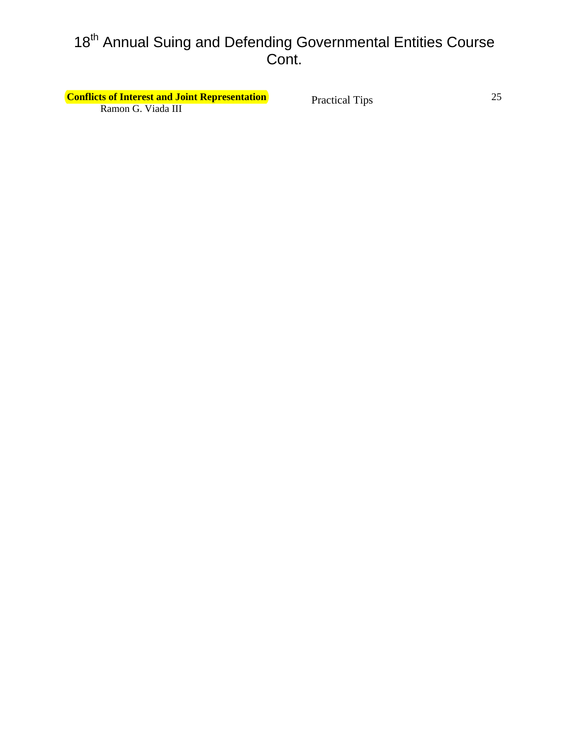# 18<sup>th</sup> Annual Suing and Defending Governmental Entities Course Cont.

**Conflicts of Interest and Joint Representation Practical Tins** 25 Ramon G. Viada III

Practical Tips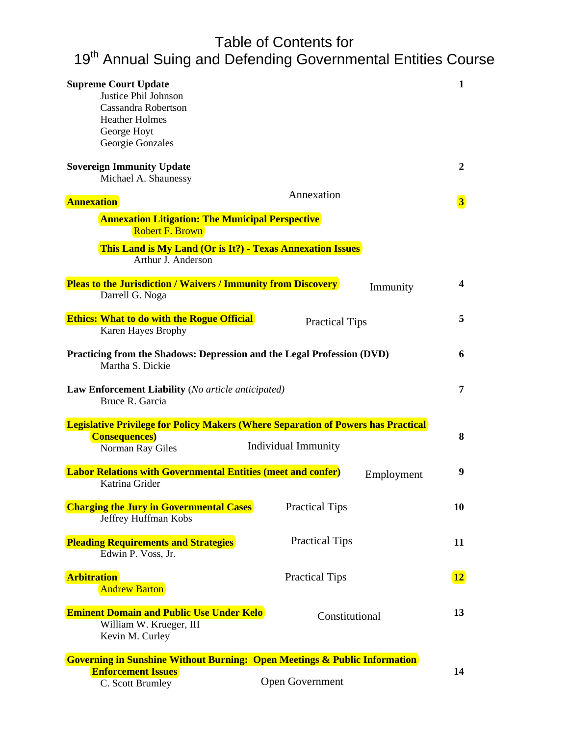# Table of Contents for 19<sup>th</sup> Annual Suing and Defending Governmental Entities Course

| <b>Supreme Court Update</b><br>Justice Phil Johnson<br>Cassandra Robertson<br><b>Heather Holmes</b><br>George Hoyt<br>Georgie Gonzales |                                                                                                         | 1                       |
|----------------------------------------------------------------------------------------------------------------------------------------|---------------------------------------------------------------------------------------------------------|-------------------------|
| <b>Sovereign Immunity Update</b><br>Michael A. Shaunessy                                                                               |                                                                                                         | $\overline{2}$          |
| <b>Annexation</b>                                                                                                                      | Annexation                                                                                              | $\vert 3 \vert$         |
| <b>Annexation Litigation: The Municipal Perspective</b><br><b>Robert F. Brown</b>                                                      |                                                                                                         |                         |
| <b>This Land is My Land (Or is It?) - Texas Annexation Issues</b><br>Arthur J. Anderson                                                |                                                                                                         |                         |
| <b>Pleas to the Jurisdiction / Waivers / Immunity from Discovery</b><br>Darrell G. Noga                                                | Immunity                                                                                                | $\overline{\mathbf{4}}$ |
| <b>Ethics: What to do with the Rogue Official</b><br>Karen Hayes Brophy                                                                | <b>Practical Tips</b>                                                                                   | 5                       |
| Practicing from the Shadows: Depression and the Legal Profession (DVD)<br>Martha S. Dickie                                             |                                                                                                         | 6                       |
| <b>Law Enforcement Liability</b> (No article anticipated)<br>Bruce R. Garcia                                                           |                                                                                                         | 7                       |
| <b>Consequences</b> )                                                                                                                  | <b>Legislative Privilege for Policy Makers (Where Separation of Powers has Practical</b>                | 8                       |
| Norman Ray Giles                                                                                                                       | <b>Individual Immunity</b>                                                                              |                         |
| <b>Labor Relations with Governmental Entities (meet and confer)</b><br>Katrina Grider                                                  | Employment                                                                                              | 9                       |
| <b>Charging the Jury in Governmental Cases</b><br>Jeffrey Huffman Kobs                                                                 | <b>Practical Tips</b>                                                                                   | 10                      |
| <b>Pleading Requirements and Strategies</b><br>Edwin P. Voss, Jr.                                                                      | <b>Practical Tips</b>                                                                                   | 11                      |
| <b>Arbitration</b><br><b>Andrew Barton</b>                                                                                             | <b>Practical Tips</b>                                                                                   | $\boxed{12}$            |
| <b>Eminent Domain and Public Use Under Kelo</b><br>William W. Krueger, III<br>Kevin M. Curley                                          | Constitutional                                                                                          | 13                      |
| <b>Enforcement Issues</b><br>C. Scott Brumley                                                                                          | <b>Governing in Sunshine Without Burning: Open Meetings &amp; Public Information</b><br>Open Government | 14                      |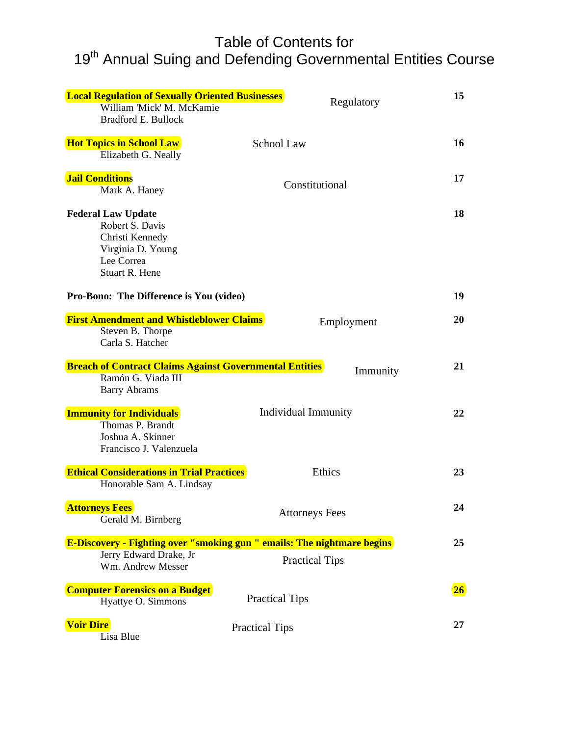### Table of Contents for 19<sup>th</sup> Annual Suing and Defending Governmental Entities Course

| <b>Local Regulation of Sexually Oriented Businesses</b><br>William 'Mick' M. McKamie<br><b>Bradford E. Bullock</b>          | Regulatory                 | 15 |
|-----------------------------------------------------------------------------------------------------------------------------|----------------------------|----|
| <b>Hot Topics in School Law</b><br>Elizabeth G. Neally                                                                      | School Law                 | 16 |
| <b>Jail Conditions</b><br>Mark A. Haney                                                                                     | Constitutional             | 17 |
| <b>Federal Law Update</b><br>Robert S. Davis<br>Christi Kennedy<br>Virginia D. Young<br>Lee Correa<br><b>Stuart R. Hene</b> |                            | 18 |
| Pro-Bono: The Difference is You (video)                                                                                     |                            | 19 |
| <b>First Amendment and Whistleblower Claims</b>                                                                             | Employment                 | 20 |
| Steven B. Thorpe<br>Carla S. Hatcher                                                                                        |                            |    |
| <b>Breach of Contract Claims Against Governmental Entities</b>                                                              | Immunity                   | 21 |
| Ramón G. Viada III<br><b>Barry Abrams</b>                                                                                   |                            |    |
| <b>Immunity for Individuals</b>                                                                                             | <b>Individual Immunity</b> | 22 |
| Thomas P. Brandt<br>Joshua A. Skinner<br>Francisco J. Valenzuela                                                            |                            |    |
| <b>Ethical Considerations in Trial Practices</b>                                                                            | Ethics                     | 23 |
| Honorable Sam A. Lindsay                                                                                                    |                            |    |
| <b>Attorneys Fees</b><br>Gerald M. Birnberg                                                                                 | <b>Attorneys Fees</b>      | 24 |
| <b>E-Discovery - Fighting over "smoking gun " emails: The nightmare begins</b>                                              |                            | 25 |
| Jerry Edward Drake, Jr<br>Wm. Andrew Messer                                                                                 | <b>Practical Tips</b>      |    |
| <b>Computer Forensics on a Budget</b><br>Hyattye O. Simmons                                                                 | <b>Practical Tips</b>      | 26 |
| <b>Voir Dire</b><br>Lisa Blue                                                                                               | <b>Practical Tips</b>      | 27 |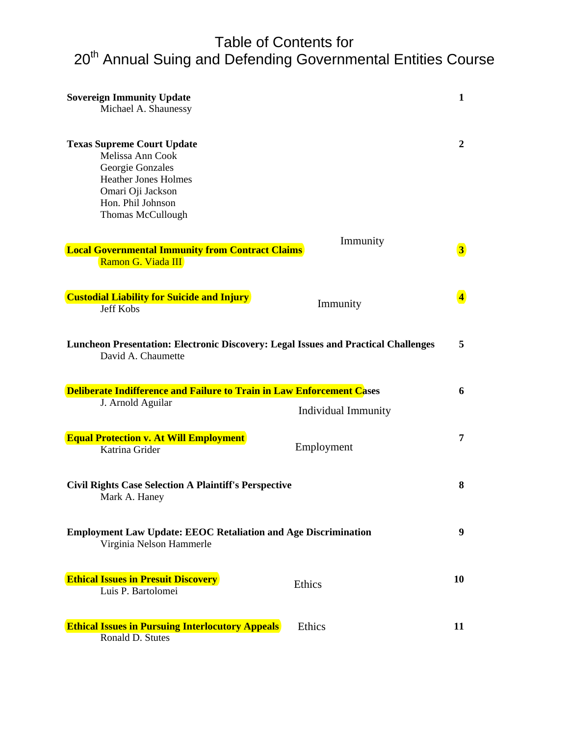### Table of Contents for 20<sup>th</sup> Annual Suing and Defending Governmental Entities Course

| <b>Sovereign Immunity Update</b><br>Michael A. Shaunessy                                                                                                                |                     | 1                       |
|-------------------------------------------------------------------------------------------------------------------------------------------------------------------------|---------------------|-------------------------|
| <b>Texas Supreme Court Update</b><br>Melissa Ann Cook<br>Georgie Gonzales<br><b>Heather Jones Holmes</b><br>Omari Oji Jackson<br>Hon. Phil Johnson<br>Thomas McCullough |                     | $\overline{2}$          |
|                                                                                                                                                                         | Immunity            |                         |
| <b>Local Governmental Immunity from Contract Claims</b><br>Ramon G. Viada III                                                                                           |                     | $\overline{\mathbf{3}}$ |
| <b>Custodial Liability for Suicide and Injury</b><br><b>Jeff Kobs</b>                                                                                                   | Immunity            | $\overline{4}$          |
| Luncheon Presentation: Electronic Discovery: Legal Issues and Practical Challenges<br>David A. Chaumette                                                                |                     | 5                       |
| Deliberate Indifference and Failure to Train in Law Enforcement Cases                                                                                                   |                     | 6                       |
| J. Arnold Aguilar                                                                                                                                                       | Individual Immunity |                         |
| <b>Equal Protection v. At Will Employment</b><br>Katrina Grider                                                                                                         | Employment          | 7                       |
| <b>Civil Rights Case Selection A Plaintiff's Perspective</b><br>Mark A. Haney                                                                                           |                     | 8                       |
| <b>Employment Law Update: EEOC Retaliation and Age Discrimination</b><br>Virginia Nelson Hammerle                                                                       |                     | 9                       |
| <b>Ethical Issues in Presuit Discovery</b><br>Luis P. Bartolomei                                                                                                        | Ethics              | 10                      |
| <b>Ethical Issues in Pursuing Interlocutory Appeals</b><br>Ronald D. Stutes                                                                                             | Ethics              | 11                      |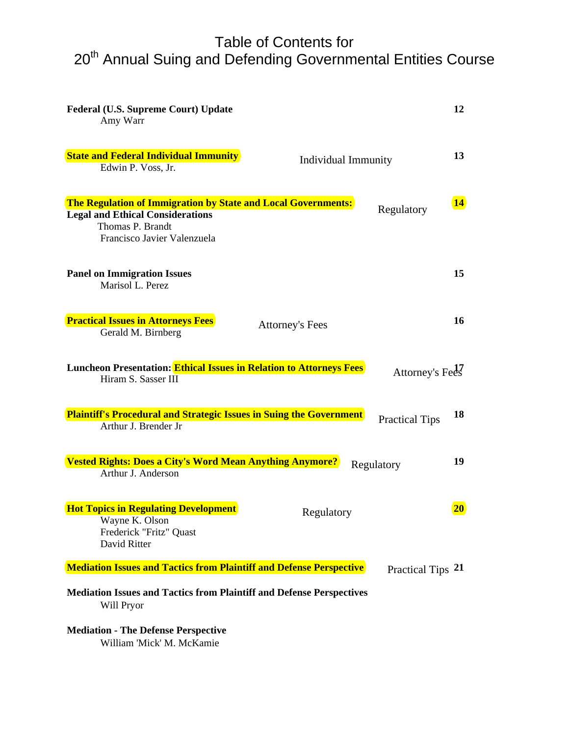# Table of Contents for 20<sup>th</sup> Annual Suing and Defending Governmental Entities Course

| Federal (U.S. Supreme Court) Update<br>Amy Warr                                                                                                             |                            | 12                            |
|-------------------------------------------------------------------------------------------------------------------------------------------------------------|----------------------------|-------------------------------|
| <b>State and Federal Individual Immunity</b><br>Edwin P. Voss, Jr.                                                                                          | <b>Individual Immunity</b> | 13                            |
| The Regulation of Immigration by State and Local Governments:<br><b>Legal and Ethical Considerations</b><br>Thomas P. Brandt<br>Francisco Javier Valenzuela |                            | $\overline{14}$<br>Regulatory |
| <b>Panel on Immigration Issues</b><br>Marisol L. Perez                                                                                                      |                            | 15                            |
| <b>Practical Issues in Attorneys Fees</b><br>Gerald M. Birnberg                                                                                             | <b>Attorney's Fees</b>     | 16                            |
| Luncheon Presentation: Ethical Issues in Relation to Attorneys Fees<br>Hiram S. Sasser III                                                                  |                            | Attorney's Fees               |
| <b>Plaintiff's Procedural and Strategic Issues in Suing the Government</b><br>Arthur J. Brender Jr                                                          |                            | 18<br><b>Practical Tips</b>   |
| <b>Vested Rights: Does a City's Word Mean Anything Anymore?</b><br>Arthur J. Anderson                                                                       |                            | 19<br>Regulatory              |
| <b>Hot Topics in Regulating Development</b><br>Wayne K. Olson<br>Frederick "Fritz" Quast<br>David Ritter                                                    | Regulatory                 | 20 <sup>°</sup>               |
| <b>Mediation Issues and Tactics from Plaintiff and Defense Perspective</b>                                                                                  |                            | Practical Tips 21             |
| <b>Mediation Issues and Tactics from Plaintiff and Defense Perspectives</b><br>Will Pryor                                                                   |                            |                               |
| <b>Mediation - The Defense Perspective</b><br>William 'Mick' M. McKamie                                                                                     |                            |                               |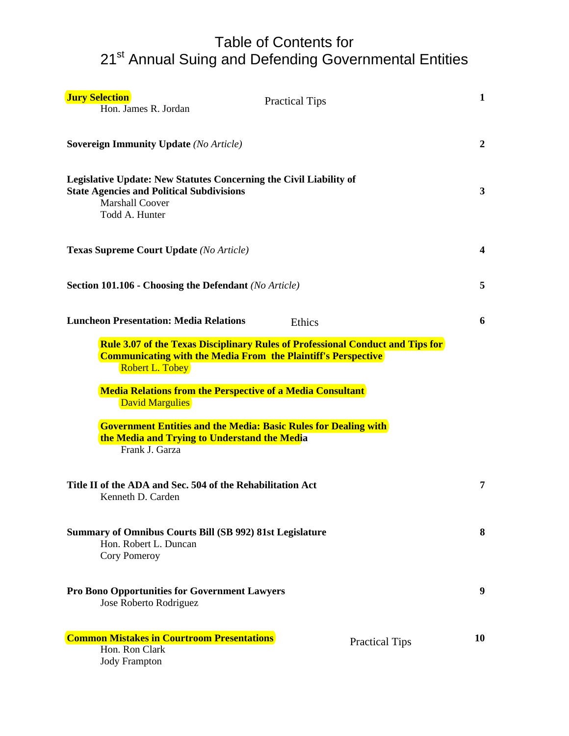### Table of Contents for 21<sup>st</sup> Annual Suing and Defending Governmental Entities

| <b>Jury Selection</b><br>Hon. James R. Jordan                                                                                                                      | <b>Practical Tips</b>                                                  | $\mathbf{1}$   |
|--------------------------------------------------------------------------------------------------------------------------------------------------------------------|------------------------------------------------------------------------|----------------|
| <b>Sovereign Immunity Update (No Article)</b>                                                                                                                      |                                                                        | $\overline{2}$ |
| Legislative Update: New Statutes Concerning the Civil Liability of<br><b>State Agencies and Political Subdivisions</b><br><b>Marshall Coover</b><br>Todd A. Hunter |                                                                        | 3              |
| <b>Texas Supreme Court Update (No Article)</b>                                                                                                                     |                                                                        | 4              |
| Section 101.106 - Choosing the Defendant (No Article)                                                                                                              |                                                                        | 5              |
| <b>Luncheon Presentation: Media Relations</b>                                                                                                                      | Ethics                                                                 | 6              |
| <b>Robert L. Tobey</b><br><b>Media Relations from the Perspective of a Media Consultant</b><br><b>David Margulies</b>                                              | <b>Communicating with the Media From the Plaintiff's Perspective</b>   |                |
| the Media and Trying to Understand the Media<br>Frank J. Garza                                                                                                     | <b>Government Entities and the Media: Basic Rules for Dealing with</b> |                |
| Title II of the ADA and Sec. 504 of the Rehabilitation Act<br>Kenneth D. Carden                                                                                    |                                                                        | 7              |
| Summary of Omnibus Courts Bill (SB 992) 81st Legislature<br>Hon. Robert L. Duncan<br>Cory Pomeroy                                                                  |                                                                        | 8              |
| <b>Pro Bono Opportunities for Government Lawyers</b><br>Jose Roberto Rodriguez                                                                                     |                                                                        | 9              |
| <b>Common Mistakes in Courtroom Presentations</b><br>Hon. Ron Clark<br><b>Jody Frampton</b>                                                                        | <b>Practical Tips</b>                                                  | 10             |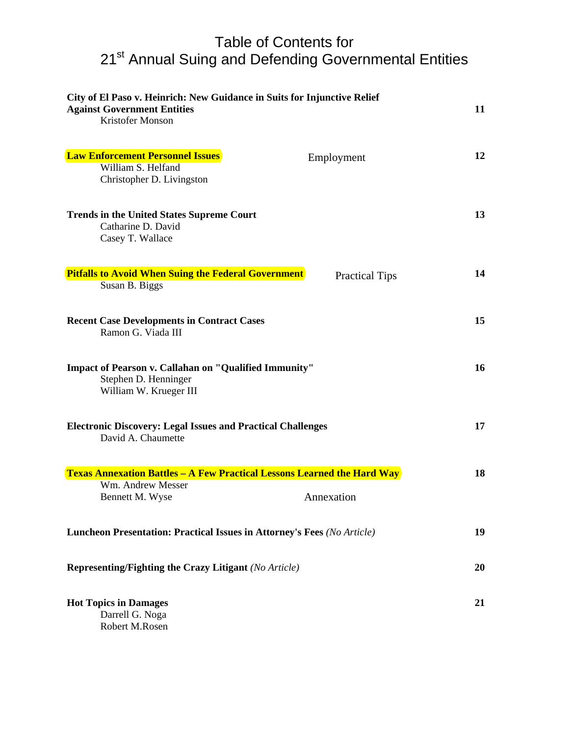### Table of Contents for 21<sup>st</sup> Annual Suing and Defending Governmental Entities

| City of El Paso v. Heinrich: New Guidance in Suits for Injunctive Relief<br><b>Against Government Entities</b><br>Kristofer Monson |                       | 11 |
|------------------------------------------------------------------------------------------------------------------------------------|-----------------------|----|
| <b>Law Enforcement Personnel Issues</b><br>William S. Helfand                                                                      | Employment            | 12 |
| Christopher D. Livingston                                                                                                          |                       |    |
| <b>Trends in the United States Supreme Court</b><br>Catharine D. David<br>Casey T. Wallace                                         |                       | 13 |
| <b>Pitfalls to Avoid When Suing the Federal Government</b><br>Susan B. Biggs                                                       | <b>Practical Tips</b> | 14 |
| <b>Recent Case Developments in Contract Cases</b><br>Ramon G. Viada III                                                            |                       | 15 |
| <b>Impact of Pearson v. Callahan on "Qualified Immunity"</b><br>Stephen D. Henninger<br>William W. Krueger III                     |                       | 16 |
| <b>Electronic Discovery: Legal Issues and Practical Challenges</b><br>David A. Chaumette                                           |                       | 17 |
| <b>Texas Annexation Battles - A Few Practical Lessons Learned the Hard Way</b>                                                     |                       | 18 |
| Wm. Andrew Messer<br>Bennett M. Wyse                                                                                               | Annexation            |    |
| Luncheon Presentation: Practical Issues in Attorney's Fees (No Article)                                                            |                       | 19 |
| <b>Representing/Fighting the Crazy Litigant (No Article)</b>                                                                       |                       | 20 |
| <b>Hot Topics in Damages</b><br>Darrell G. Noga<br>Robert M.Rosen                                                                  |                       | 21 |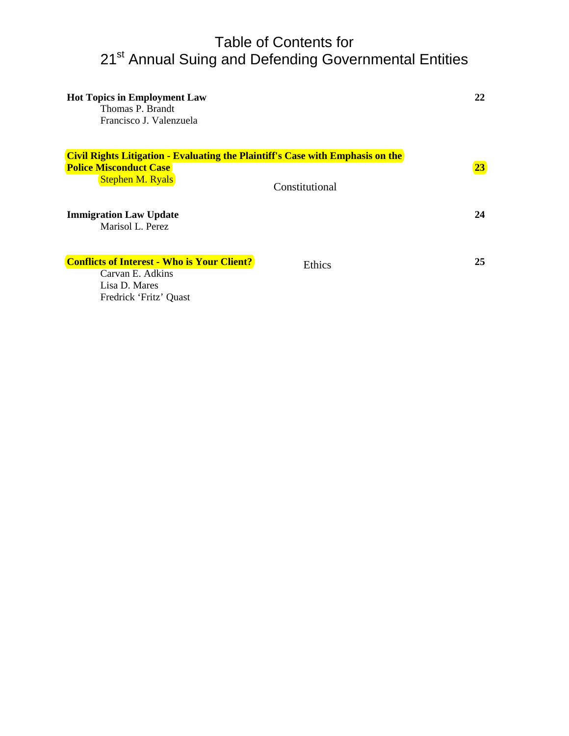### Table of Contents for 21<sup>st</sup> Annual Suing and Defending Governmental Entities

| <b>Hot Topics in Employment Law</b><br>Thomas P. Brandt<br>Francisco J. Valenzuela    |                | 22 |
|---------------------------------------------------------------------------------------|----------------|----|
| <b>Civil Rights Litigation - Evaluating the Plaintiff's Case with Emphasis on the</b> |                |    |
| <b>Police Misconduct Case</b>                                                         |                | 23 |
| <b>Stephen M. Ryals</b>                                                               | Constitutional |    |
| <b>Immigration Law Update</b>                                                         |                | 24 |
| Marisol L. Perez                                                                      |                |    |
|                                                                                       |                |    |
| <b>Conflicts of Interest - Who is Your Client?</b>                                    | Ethics         | 25 |
| Carvan E. Adkins                                                                      |                |    |
| Lisa D. Mares                                                                         |                |    |
| Fredrick 'Fritz' Quast                                                                |                |    |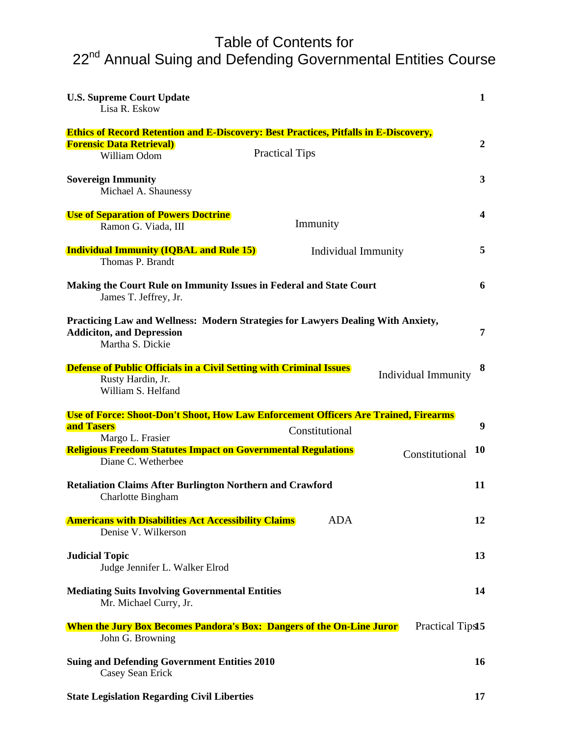### Table of Contents for 22<sup>nd</sup> Annual Suing and Defending Governmental Entities Course

| <b>U.S. Supreme Court Update</b><br>Lisa R. Eskow                                                                                            | $\mathbf{1}$   |
|----------------------------------------------------------------------------------------------------------------------------------------------|----------------|
| <b>Ethics of Record Retention and E-Discovery: Best Practices, Pitfalls in E-Discovery,</b>                                                  |                |
| <b>Forensic Data Retrieval)</b><br><b>Practical Tips</b><br>William Odom                                                                     | $\overline{2}$ |
| <b>Sovereign Immunity</b><br>Michael A. Shaunessy                                                                                            | 3              |
| <b>Use of Separation of Powers Doctrine</b><br>Immunity<br>Ramon G. Viada, III                                                               | 4              |
| <b>Individual Immunity (IQBAL and Rule 15)</b><br>Individual Immunity<br>Thomas P. Brandt                                                    | 5              |
| Making the Court Rule on Immunity Issues in Federal and State Court<br>James T. Jeffrey, Jr.                                                 | 6              |
| Practicing Law and Wellness: Modern Strategies for Lawyers Dealing With Anxiety,<br><b>Addiciton, and Depression</b><br>Martha S. Dickie     | 7              |
| <b>Defense of Public Officials in a Civil Setting with Criminal Issues</b><br>Individual Immunity<br>Rusty Hardin, Jr.<br>William S. Helfand | 8              |
| Use of Force: Shoot-Don't Shoot, How Law Enforcement Officers Are Trained, Firearms                                                          |                |
| and Tasers<br>Constitutional<br>Margo L. Frasier                                                                                             | 9              |
| <b>Religious Freedom Statutes Impact on Governmental Regulations</b><br>Constitutional<br>Diane C. Wetherbee                                 | <b>10</b>      |
| <b>Retaliation Claims After Burlington Northern and Crawford</b><br><b>Charlotte Bingham</b>                                                 | 11             |
| <b>ADA</b><br><b>Americans with Disabilities Act Accessibility Claims</b><br>Denise V. Wilkerson                                             | 12             |
| <b>Judicial Topic</b><br>Judge Jennifer L. Walker Elrod                                                                                      | 13             |
| <b>Mediating Suits Involving Governmental Entities</b><br>Mr. Michael Curry, Jr.                                                             | 14             |
| <b>When the Jury Box Becomes Pandora's Box: Dangers of the On-Line Juror</b><br>Practical Tips15<br>John G. Browning                         |                |
| <b>Suing and Defending Government Entities 2010</b><br>Casey Sean Erick                                                                      | 16             |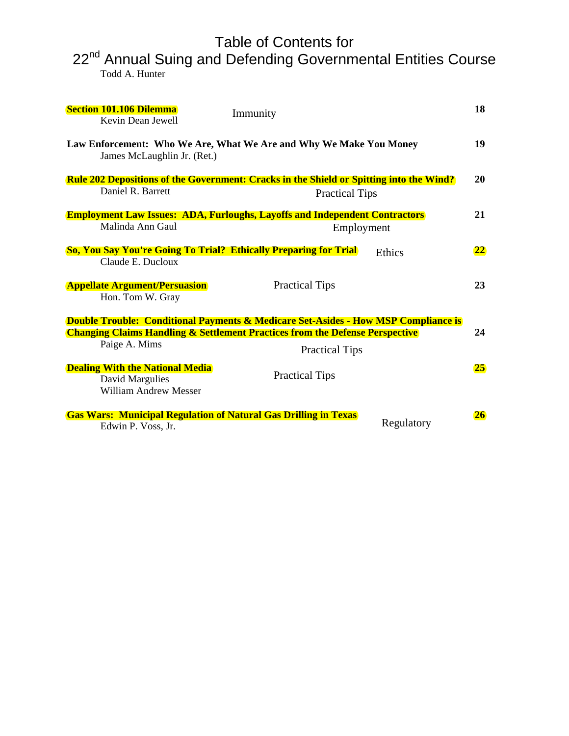# Table of Contents for

22<sup>nd</sup> Annual Suing and Defending Governmental Entities Course Todd A. Hunter

| <b>Section 101.106 Dilemma</b><br>Kevin Dean Jewell                                       | Immunity                                                                                       | 18        |
|-------------------------------------------------------------------------------------------|------------------------------------------------------------------------------------------------|-----------|
| James McLaughlin Jr. (Ret.)                                                               | Law Enforcement: Who We Are, What We Are and Why We Make You Money                             | 19        |
|                                                                                           | <b>Rule 202 Depositions of the Government: Cracks in the Shield or Spitting into the Wind?</b> | 20        |
| Daniel R. Barrett                                                                         | <b>Practical Tips</b>                                                                          |           |
|                                                                                           | <b>Employment Law Issues: ADA, Furloughs, Layoffs and Independent Contractors</b>              | 21        |
| Malinda Ann Gaul                                                                          | Employment                                                                                     |           |
|                                                                                           | <b>So, You Say You're Going To Trial? Ethically Preparing for Trial</b><br>Ethics              | 22        |
| Claude E. Ducloux                                                                         |                                                                                                |           |
| <b>Appellate Argument/Persuasion</b><br>Hon. Tom W. Gray                                  | <b>Practical Tips</b>                                                                          | 23        |
|                                                                                           | <b>Double Trouble: Conditional Payments &amp; Medicare Set-Asides - How MSP Compliance is</b>  |           |
|                                                                                           | <b>Changing Claims Handling &amp; Settlement Practices from the Defense Perspective</b>        | 24        |
| Paige A. Mims                                                                             | <b>Practical Tips</b>                                                                          |           |
| <b>Dealing With the National Media</b><br>David Margulies<br><b>William Andrew Messer</b> | <b>Practical Tips</b>                                                                          | 25        |
| Edwin P. Voss, Jr.                                                                        | <b>Gas Wars: Municipal Regulation of Natural Gas Drilling in Texas</b><br>Regulatory           | <b>26</b> |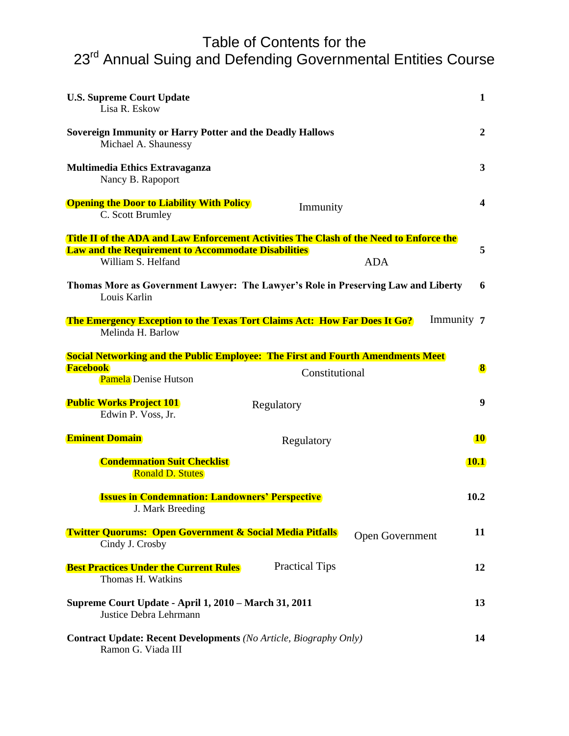# Table of Contents for the

23<sup>rd</sup> Annual Suing and Defending Governmental Entities Course

| <b>U.S. Supreme Court Update</b><br>Lisa R. Eskow                                                                                                                                                | $\mathbf{1}$     |
|--------------------------------------------------------------------------------------------------------------------------------------------------------------------------------------------------|------------------|
| <b>Sovereign Immunity or Harry Potter and the Deadly Hallows</b><br>Michael A. Shaunessy                                                                                                         | $\boldsymbol{2}$ |
| <b>Multimedia Ethics Extravaganza</b><br>Nancy B. Rapoport                                                                                                                                       | 3                |
| <b>Opening the Door to Liability With Policy</b><br>Immunity<br>C. Scott Brumley                                                                                                                 | 4                |
| <b>Title II of the ADA and Law Enforcement Activities The Clash of the Need to Enforce the</b><br><b>Law and the Requirement to Accommodate Disabilities</b><br>William S. Helfand<br><b>ADA</b> | 5                |
| Thomas More as Government Lawyer: The Lawyer's Role in Preserving Law and Liberty<br>Louis Karlin                                                                                                | 6                |
| <b>The Emergency Exception to the Texas Tort Claims Act: How Far Does It Go?</b><br>Melinda H. Barlow                                                                                            | Immunity 7       |
| <b>Social Networking and the Public Employee: The First and Fourth Amendments Meet</b><br><b>Facebook</b><br>Constitutional<br><b>Pamela</b> Denise Hutson                                       | 8                |
| <b>Public Works Project 101</b><br>Regulatory<br>Edwin P. Voss, Jr.                                                                                                                              | 9                |
| <b>Eminent Domain</b><br>Regulatory                                                                                                                                                              | <b>10</b>        |
| <b>Condemnation Suit Checklist</b><br><b>Ronald D. Stutes</b>                                                                                                                                    | <b>10.1</b>      |
| <b>Issues in Condemnation: Landowners' Perspective</b><br>J. Mark Breeding                                                                                                                       | 10.2             |
| <b>Twitter Quorums: Open Government &amp; Social Media Pitfalls</b><br><b>Open Government</b><br>Cindy J. Crosby                                                                                 | 11               |
| <b>Practical Tips</b><br><b>Best Practices Under the Current Rules</b><br>Thomas H. Watkins                                                                                                      | 12               |
| Supreme Court Update - April 1, 2010 - March 31, 2011<br>Justice Debra Lehrmann                                                                                                                  | 13               |
| <b>Contract Update: Recent Developments</b> (No Article, Biography Only)<br>Ramon G. Viada III                                                                                                   | 14               |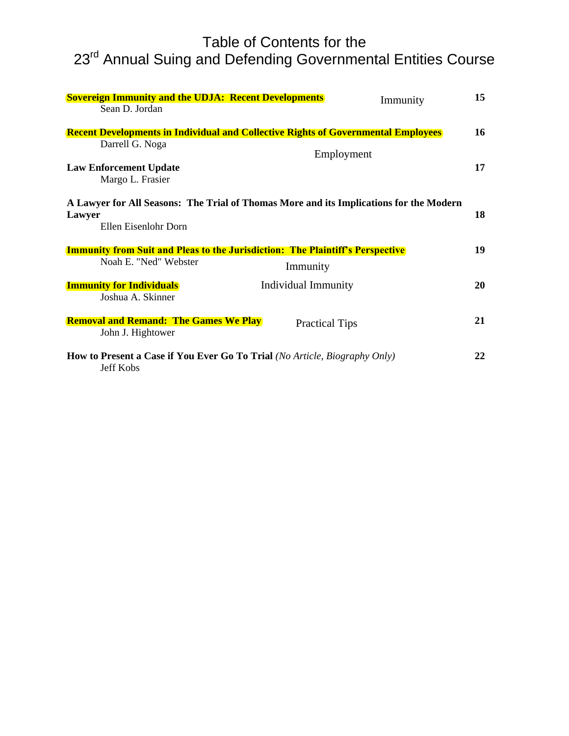# Table of Contents for the 23<sup>rd</sup> Annual Suing and Defending Governmental Entities Course

|        | <b>Sovereign Immunity and the UDJA: Recent Developments</b>                                                    |                            | Immunity | 15        |
|--------|----------------------------------------------------------------------------------------------------------------|----------------------------|----------|-----------|
|        | Sean D. Jordan                                                                                                 |                            |          |           |
|        | <b>Recent Developments in Individual and Collective Rights of Governmental Employees</b>                       |                            |          | 16        |
|        | Darrell G. Noga                                                                                                | Employment                 |          |           |
|        | <b>Law Enforcement Update</b><br>Margo L. Frasier                                                              |                            |          | 17        |
| Lawyer | A Lawyer for All Seasons: The Trial of Thomas More and its Implications for the Modern<br>Ellen Eisenlohr Dorn |                            |          | 18        |
|        | <b>Immunity from Suit and Pleas to the Jurisdiction: The Plaintiff's Perspective</b>                           |                            |          | 19        |
|        | Noah E. "Ned" Webster                                                                                          | Immunity                   |          |           |
|        | <b>Immunity for Individuals</b><br>Joshua A. Skinner                                                           | <b>Individual Immunity</b> |          | <b>20</b> |
|        | <b>Removal and Remand: The Games We Play</b><br>John J. Hightower                                              | <b>Practical Tips</b>      |          | 21        |
|        | <b>How to Present a Case if You Ever Go To Trial</b> (No Article, Biography Only)<br><b>Jeff Kobs</b>          |                            |          | 22        |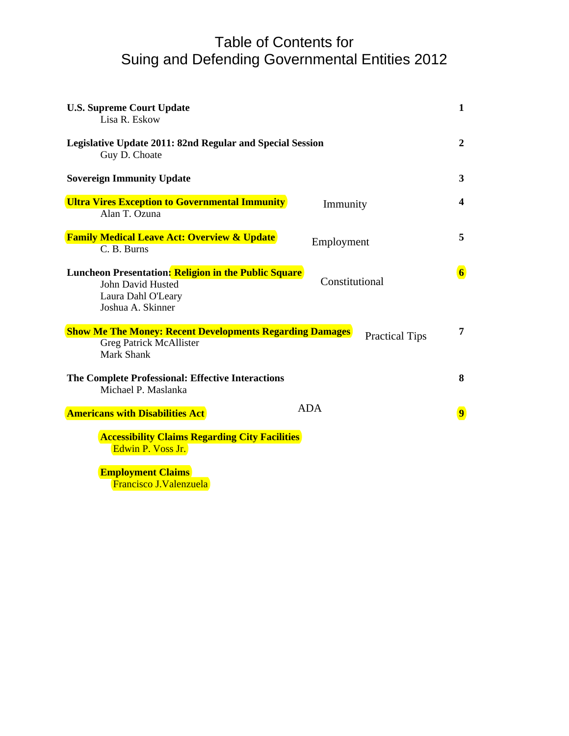### Table of Contents for Suing and Defending Governmental Entities 2012

| <b>U.S. Supreme Court Update</b><br>Lisa R. Eskow                                                                           |                |                       | $\mathbf{1}$            |
|-----------------------------------------------------------------------------------------------------------------------------|----------------|-----------------------|-------------------------|
| Legislative Update 2011: 82nd Regular and Special Session<br>Guy D. Choate                                                  |                |                       | $\boldsymbol{2}$        |
| <b>Sovereign Immunity Update</b>                                                                                            |                |                       | 3                       |
| <b>Ultra Vires Exception to Governmental Immunity</b><br>Alan T. Ozuna                                                      | Immunity       |                       | $\boldsymbol{4}$        |
| <b>Family Medical Leave Act: Overview &amp; Update</b><br>C. B. Burns                                                       | Employment     |                       | 5                       |
| Luncheon Presentation: Religion in the Public Square<br><b>John David Husted</b><br>Laura Dahl O'Leary<br>Joshua A. Skinner | Constitutional |                       | $\overline{\mathbf{6}}$ |
| <b>Show Me The Money: Recent Developments Regarding Damages</b><br><b>Greg Patrick McAllister</b><br>Mark Shank             |                | <b>Practical Tips</b> | 7                       |
| The Complete Professional: Effective Interactions<br>Michael P. Maslanka                                                    |                |                       | 8                       |
| <b>Americans with Disabilities Act</b>                                                                                      | <b>ADA</b>     |                       | $\overline{9}$          |
| <b>Accessibility Claims Regarding City Facilities</b><br>Edwin P. Voss Jr.                                                  |                |                       |                         |
| <b>Employment Claims</b>                                                                                                    |                |                       |                         |

Francisco J.Valenzuela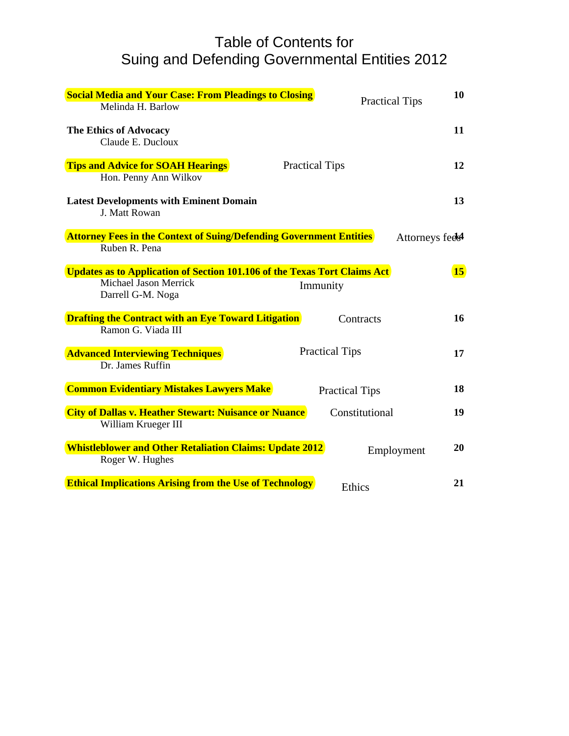### Table of Contents for Suing and Defending Governmental Entities 2012

| <b>Social Media and Your Case: From Pleadings to Closing</b><br>Melinda H. Barlow                                              |                       | 10<br><b>Practical Tips</b>  |
|--------------------------------------------------------------------------------------------------------------------------------|-----------------------|------------------------------|
| The Ethics of Advocacy<br>Claude E. Ducloux                                                                                    |                       | 11                           |
| <b>Tips and Advice for SOAH Hearings</b><br>Hon. Penny Ann Wilkov                                                              | <b>Practical Tips</b> | 12                           |
| <b>Latest Developments with Eminent Domain</b><br>J. Matt Rowan                                                                |                       | 13                           |
| <b>Attorney Fees in the Context of Suing/Defending Government Entities</b><br>Ruben R. Pena                                    |                       | Attorneys feels <sup>4</sup> |
| Updates as to Application of Section 101.106 of the Texas Tort Claims Act<br><b>Michael Jason Merrick</b><br>Darrell G-M. Noga | Immunity              | 15                           |
| <b>Drafting the Contract with an Eye Toward Litigation</b><br>Ramon G. Viada III                                               | Contracts             | 16                           |
| <b>Advanced Interviewing Techniques</b><br>Dr. James Ruffin                                                                    | <b>Practical Tips</b> | 17                           |
| <b>Common Evidentiary Mistakes Lawyers Make</b>                                                                                | <b>Practical Tips</b> | 18                           |
| <b>City of Dallas v. Heather Stewart: Nuisance or Nuance</b><br>William Krueger III                                            | Constitutional        | 19                           |
| <b>Whistleblower and Other Retaliation Claims: Update 2012</b><br>Roger W. Hughes                                              |                       | 20<br>Employment             |
| <b>Ethical Implications Arising from the Use of Technology</b>                                                                 | Ethics                | 21                           |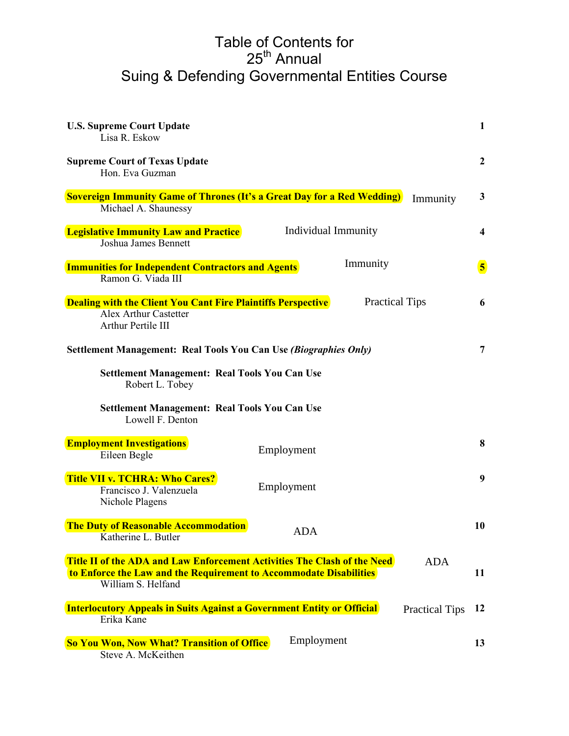### Table of Contents for 25<sup>th</sup> Annual Suing & Defending Governmental Entities Course

| <b>U.S. Supreme Court Update</b><br>Lisa R. Eskow                                                                                                                    |                       |                       | $\mathbf{1}$            |
|----------------------------------------------------------------------------------------------------------------------------------------------------------------------|-----------------------|-----------------------|-------------------------|
| <b>Supreme Court of Texas Update</b><br>Hon. Eva Guzman                                                                                                              |                       |                       | $\overline{2}$          |
| <b>Sovereign Immunity Game of Thrones (It's a Great Day for a Red Wedding)</b><br>Michael A. Shaunessy                                                               |                       | Immunity              | 3                       |
| <b>Legislative Immunity Law and Practice</b><br><b>Joshua James Bennett</b>                                                                                          | Individual Immunity   |                       | 4                       |
| <b>Immunities for Independent Contractors and Agents</b><br>Ramon G. Viada III                                                                                       | Immunity              |                       | $\overline{\mathbf{5}}$ |
| <b>Dealing with the Client You Cant Fire Plaintiffs Perspective</b><br><b>Alex Arthur Castetter</b><br><b>Arthur Pertile III</b>                                     | <b>Practical Tips</b> |                       | 6                       |
| <b>Settlement Management: Real Tools You Can Use (Biographies Only)</b>                                                                                              |                       |                       | $\overline{7}$          |
| <b>Settlement Management: Real Tools You Can Use</b><br>Robert L. Tobey                                                                                              |                       |                       |                         |
| <b>Settlement Management: Real Tools You Can Use</b><br>Lowell F. Denton                                                                                             |                       |                       |                         |
| <b>Employment Investigations</b><br>Eileen Begle                                                                                                                     | Employment            |                       | 8                       |
| <b>Title VII v. TCHRA: Who Cares?</b><br>Francisco J. Valenzuela<br>Nichole Plagens                                                                                  | Employment            |                       | 9                       |
| <b>The Duty of Reasonable Accommodation</b><br>Katherine L. Butler                                                                                                   | ADA                   |                       | 10                      |
| Title II of the ADA and Law Enforcement Activities The Clash of the Need<br>to Enforce the Law and the Requirement to Accommodate Disabilities<br>William S. Helfand |                       | <b>ADA</b>            | 11                      |
| <b>Interlocutory Appeals in Suits Against a Government Entity or Official</b><br>Erika Kane                                                                          |                       | <b>Practical Tips</b> | 12                      |
| <b>So You Won, Now What? Transition of Office</b><br>Steve A. McKeithen                                                                                              | Employment            |                       | 13                      |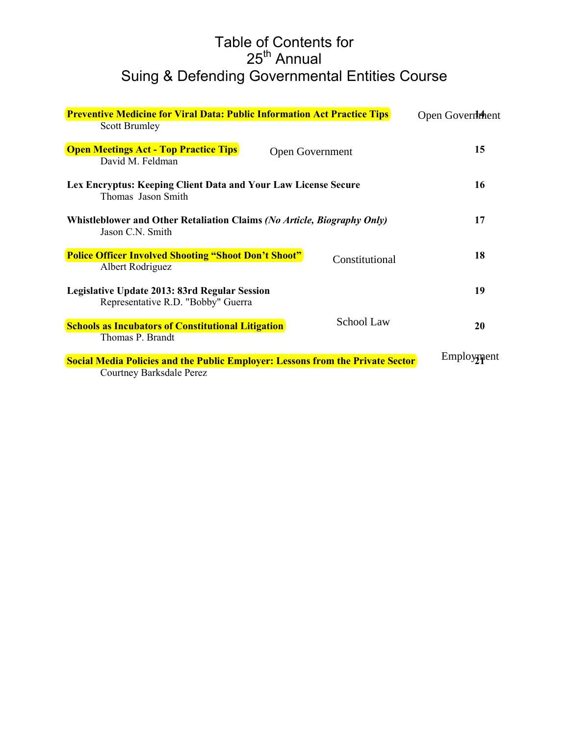### Table of Contents for 25<sup>th</sup> Annual Suing & Defending Governmental Entities Course

| <b>Preventive Medicine for Viral Data: Public Information Act Practice Tips</b>                                   | Open Government |
|-------------------------------------------------------------------------------------------------------------------|-----------------|
| <b>Scott Brumley</b>                                                                                              |                 |
| <b>Open Meetings Act - Top Practice Tips</b><br>Open Government<br>David M. Feldman                               | 15              |
| Lex Encryptus: Keeping Client Data and Your Law License Secure<br>Thomas Jason Smith                              | 16              |
| Whistleblower and Other Retaliation Claims (No Article, Biography Only)<br>Jason C.N. Smith                       | 17              |
| <b>Police Officer Involved Shooting "Shoot Don't Shoot"</b><br>Constitutional<br>Albert Rodriguez                 | 18              |
| Legislative Update 2013: 83rd Regular Session<br>Representative R.D. "Bobby" Guerra                               | 19              |
| <b>School Law</b><br><b>Schools as Incubators of Constitutional Litigation</b><br>Thomas P. Brandt                | 20              |
| <b>Social Media Policies and the Public Employer: Lessons from the Private Sector</b><br>Courtney Barksdale Perez | Employment      |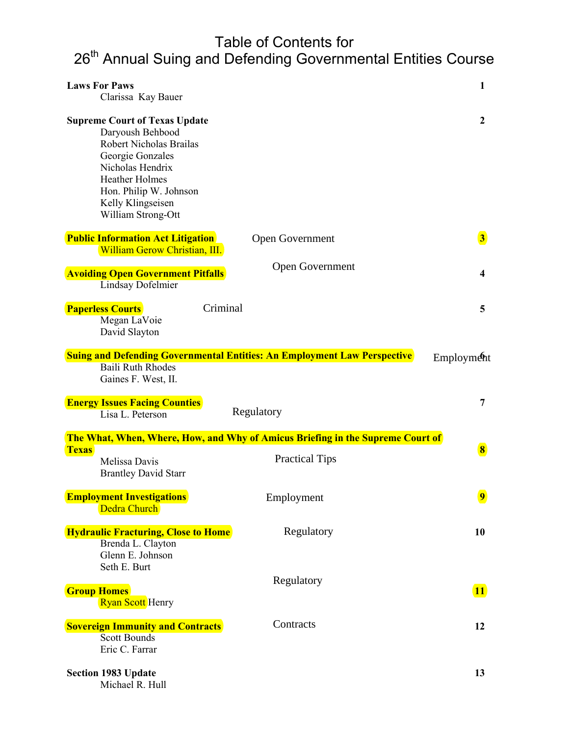# Table of Contents for

# 26<sup>th</sup> Annual Suing and Defending Governmental Entities Course

| <b>Laws For Paws</b><br>Clarissa Kay Bauer                                                                                                                                                                                |                                                                                 | $\mathbf{1}$            |
|---------------------------------------------------------------------------------------------------------------------------------------------------------------------------------------------------------------------------|---------------------------------------------------------------------------------|-------------------------|
| <b>Supreme Court of Texas Update</b><br>Daryoush Behbood<br>Robert Nicholas Brailas<br>Georgie Gonzales<br>Nicholas Hendrix<br><b>Heather Holmes</b><br>Hon. Philip W. Johnson<br>Kelly Klingseisen<br>William Strong-Ott |                                                                                 | $\mathbf{2}$            |
| <b>Public Information Act Litigation</b><br>William Gerow Christian, III.                                                                                                                                                 | Open Government                                                                 | $\vert 3 \vert$         |
| <b>Avoiding Open Government Pitfalls</b><br>Lindsay Dofelmier                                                                                                                                                             | Open Government                                                                 | 4                       |
| Criminal<br><b>Paperless Courts</b><br>Megan LaVoie<br>David Slayton                                                                                                                                                      |                                                                                 | 5                       |
| <b>Baili Ruth Rhodes</b><br>Gaines F. West, II.                                                                                                                                                                           | <b>Suing and Defending Governmental Entities: An Employment Law Perspective</b> | <b>Employment</b>       |
| <b>Energy Issues Facing Counties</b><br>Lisa L. Peterson                                                                                                                                                                  | Regulatory                                                                      | 7                       |
|                                                                                                                                                                                                                           | The What, When, Where, How, and Why of Amicus Briefing in the Supreme Court of  |                         |
| <b>Texas</b><br>Melissa Davis<br><b>Brantley David Starr</b>                                                                                                                                                              | <b>Practical Tips</b>                                                           | $\vert 8 \vert$         |
| <b>Employment Investigations</b>                                                                                                                                                                                          |                                                                                 | $\overline{\mathbf{9}}$ |
| Dedra Church                                                                                                                                                                                                              | Employment                                                                      |                         |
| <b>Hydraulic Fracturing, Close to Home</b><br>Brenda L. Clayton<br>Glenn E. Johnson                                                                                                                                       | Regulatory                                                                      | 10                      |
| Seth E. Burt<br><b>Group Homes</b><br><b>Ryan Scott</b> Henry                                                                                                                                                             | Regulatory                                                                      | <b>11</b>               |
| <b>Sovereign Immunity and Contracts</b><br>Scott Bounds<br>Eric C. Farrar                                                                                                                                                 | Contracts                                                                       | 12                      |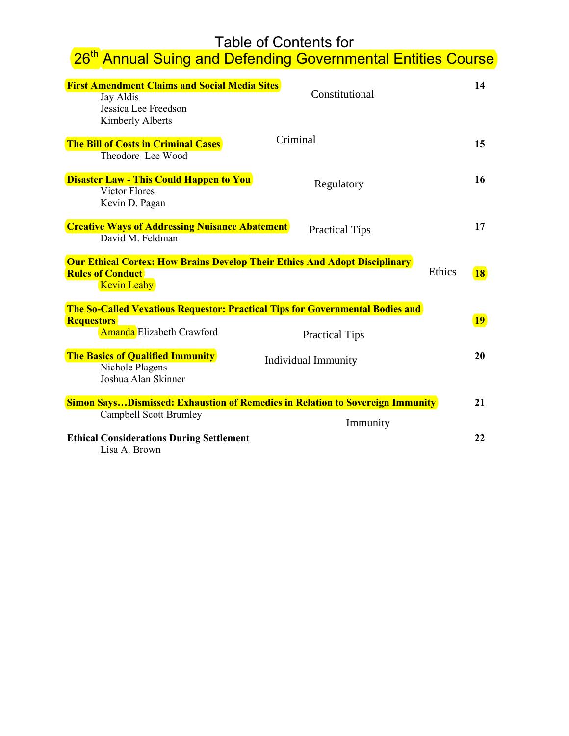# Table of Contents for

# able of Contents for<br><mark>26<sup>th</sup> Annual Suing and Defending Governmental Entities Course</mark>

| <b>First Amendment Claims and Social Media Sites</b><br>Jay Aldis<br>Jessica Lee Freedson<br>Kimberly Alberts                          | Constitutional             | 14                  |
|----------------------------------------------------------------------------------------------------------------------------------------|----------------------------|---------------------|
| <b>The Bill of Costs in Criminal Cases</b><br>Theodore Lee Wood                                                                        | Criminal                   | 15                  |
| <b>Disaster Law - This Could Happen to You</b><br><b>Victor Flores</b><br>Kevin D. Pagan                                               | Regulatory                 | 16                  |
| <b>Creative Ways of Addressing Nuisance Abatement</b><br>David M. Feldman                                                              | <b>Practical Tips</b>      | 17                  |
| <b>Our Ethical Cortex: How Brains Develop Their Ethics And Adopt Disciplinary</b><br><b>Rules of Conduct</b><br><b>Kevin Leahy</b>     |                            | Ethics<br><b>18</b> |
| The So-Called Vexatious Requestor: Practical Tips for Governmental Bodies and<br><b>Requestors</b><br><b>Amanda</b> Elizabeth Crawford | <b>Practical Tips</b>      | <b>19</b>           |
| <b>The Basics of Qualified Immunity</b><br>Nichole Plagens<br>Joshua Alan Skinner                                                      | <b>Individual Immunity</b> | 20                  |
| <b>Simon SaysDismissed: Exhaustion of Remedies in Relation to Sovereign Immunity</b>                                                   |                            | 21                  |
| <b>Campbell Scott Brumley</b>                                                                                                          | Immunity                   |                     |
| <b>Ethical Considerations During Settlement</b><br>Lisa A. Brown                                                                       |                            | 22                  |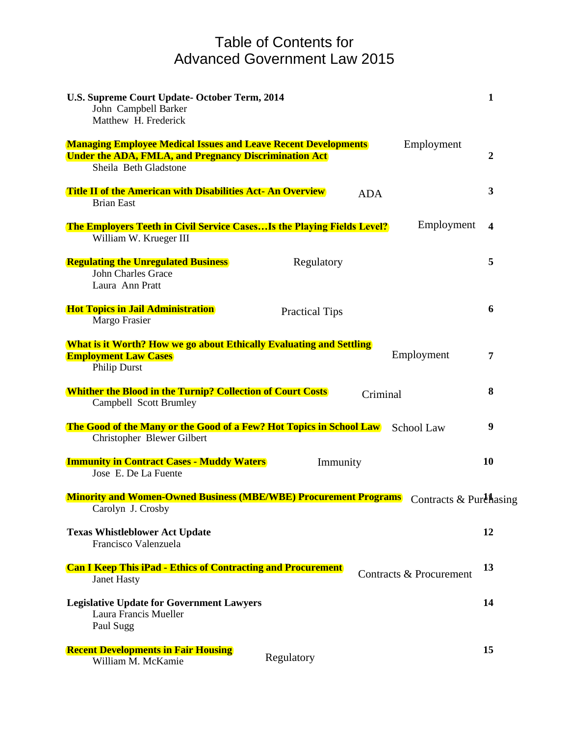### Table of Contents for Advanced Government Law 2015

| U.S. Supreme Court Update-October Term, 2014<br>John Campbell Barker<br>Matthew H. Frederick                                                                                 | 1                |
|------------------------------------------------------------------------------------------------------------------------------------------------------------------------------|------------------|
| Employment<br><b>Managing Employee Medical Issues and Leave Recent Developments</b><br><b>Under the ADA, FMLA, and Pregnancy Discrimination Act</b><br>Sheila Beth Gladstone | $\boldsymbol{2}$ |
| <b>Title II of the American with Disabilities Act- An Overview</b><br><b>ADA</b><br><b>Brian East</b>                                                                        | 3                |
| Employment<br><b>The Employers Teeth in Civil Service CasesIs the Playing Fields Level?</b><br>William W. Krueger III                                                        | $\boldsymbol{4}$ |
| <b>Regulating the Unregulated Business</b><br>Regulatory<br><b>John Charles Grace</b><br>Laura Ann Pratt                                                                     | 5                |
| <b>Hot Topics in Jail Administration</b><br><b>Practical Tips</b><br>Margo Frasier                                                                                           | 6                |
| <b>What is it Worth? How we go about Ethically Evaluating and Settling</b><br>Employment<br><b>Employment Law Cases</b><br><b>Philip Durst</b>                               | 7                |
| <b>Whither the Blood in the Turnip? Collection of Court Costs</b><br>Criminal<br><b>Campbell Scott Brumley</b>                                                               | 8                |
| The Good of the Many or the Good of a Few? Hot Topics in School Law<br><b>School Law</b><br>Christopher Blewer Gilbert                                                       | 9                |
| <b>Immunity in Contract Cases - Muddy Waters</b><br>Immunity<br>Jose E. De La Fuente                                                                                         | 10               |
| <b>Minority and Women-Owned Business (MBE/WBE) Procurement Programs</b> Contracts & Purehasing<br>Carolyn J. Crosby                                                          |                  |
| <b>Texas Whistleblower Act Update</b><br>Francisco Valenzuela                                                                                                                | 12               |
| <b>Can I Keep This iPad - Ethics of Contracting and Procurement</b><br>Contracts & Procurement<br><b>Janet Hasty</b>                                                         | 13               |
| <b>Legislative Update for Government Lawyers</b><br>Laura Francis Mueller<br>Paul Sugg                                                                                       | 14               |
| <b>Recent Developments in Fair Housing</b><br>Regulatory<br>William M. McKamie                                                                                               | 15               |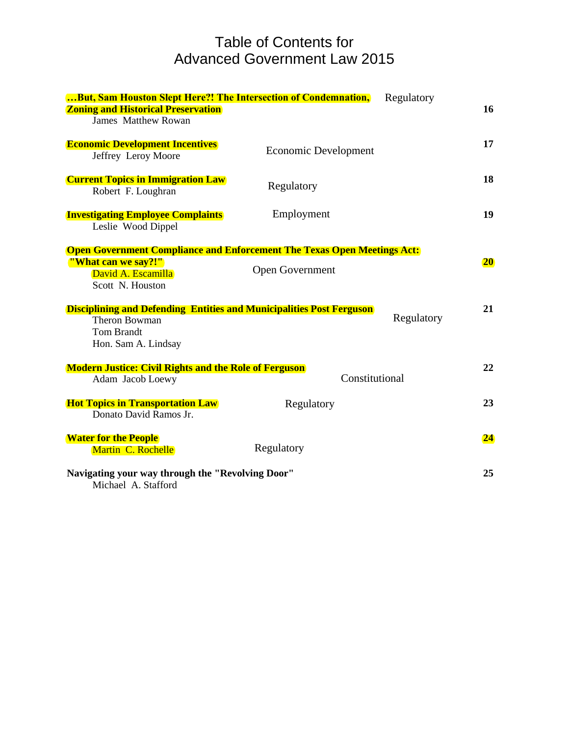### Table of Contents for Advanced Government Law 2015

| But, Sam Houston Slept Here?! The Intersection of Condemnation,<br><b>Zoning and Historical Preservation</b><br><b>James Matthew Rowan</b>      | Regulatory                                                                                               | 16        |
|-------------------------------------------------------------------------------------------------------------------------------------------------|----------------------------------------------------------------------------------------------------------|-----------|
| <b>Economic Development Incentives</b><br>Jeffrey Leroy Moore                                                                                   | <b>Economic Development</b>                                                                              | 17        |
| <b>Current Topics in Immigration Law</b><br>Robert F. Loughran                                                                                  | Regulatory                                                                                               | 18        |
| <b>Investigating Employee Complaints</b><br>Leslie Wood Dippel                                                                                  | Employment                                                                                               | 19        |
| "What can we say?!"<br>David A. Escamilla<br>Scott N. Houston                                                                                   | <b>Open Government Compliance and Enforcement The Texas Open Meetings Act:</b><br><b>Open Government</b> | <b>20</b> |
| <b>Disciplining and Defending Entities and Municipalities Post Ferguson</b><br><b>Theron Bowman</b><br><b>Tom Brandt</b><br>Hon. Sam A. Lindsay | Regulatory                                                                                               | 21        |
| <b>Modern Justice: Civil Rights and the Role of Ferguson</b><br>Adam Jacob Loewy                                                                | Constitutional                                                                                           | 22        |
| <b>Hot Topics in Transportation Law</b><br>Donato David Ramos Jr.                                                                               | Regulatory                                                                                               | 23        |
| <b>Water for the People</b><br>Martin C. Rochelle                                                                                               | Regulatory                                                                                               | 24        |
| Navigating your way through the "Revolving Door"<br>Michael A. Stafford                                                                         |                                                                                                          | 25        |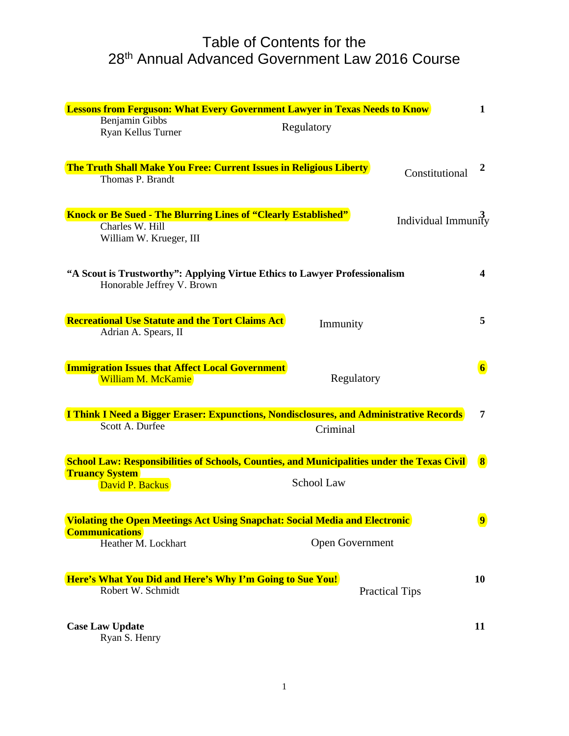### Table of Contents for the 28th Annual Advanced Government Law 2016 Course

| <b>Lessons from Ferguson: What Every Government Lawyer in Texas Needs to Know</b>                        |                 |                       | $\mathbf 1$             |
|----------------------------------------------------------------------------------------------------------|-----------------|-----------------------|-------------------------|
| Benjamin Gibbs<br>Ryan Kellus Turner                                                                     | Regulatory      |                       |                         |
| <b>The Truth Shall Make You Free: Current Issues in Religious Liberty</b><br>Thomas P. Brandt            |                 | Constitutional        | 2                       |
|                                                                                                          |                 |                       |                         |
| <b>Knock or Be Sued - The Blurring Lines of "Clearly Established"</b>                                    |                 | Individual Immunity   |                         |
| Charles W. Hill<br>William W. Krueger, III                                                               |                 |                       |                         |
| "A Scout is Trustworthy": Applying Virtue Ethics to Lawyer Professionalism<br>Honorable Jeffrey V. Brown |                 |                       | $\overline{\mathbf{4}}$ |
| <b>Recreational Use Statute and the Tort Claims Act</b>                                                  |                 |                       | 5                       |
| Adrian A. Spears, II                                                                                     | Immunity        |                       |                         |
| <b>Immigration Issues that Affect Local Government</b>                                                   |                 |                       | $\overline{\mathbf{6}}$ |
| William M. McKamie                                                                                       | Regulatory      |                       |                         |
| I Think I Need a Bigger Eraser: Expunctions, Nondisclosures, and Administrative Records                  |                 |                       | $\overline{7}$          |
| Scott A. Durfee                                                                                          | Criminal        |                       |                         |
| <b>School Law: Responsibilities of Schools, Counties, and Municipalities under the Texas Civil</b>       |                 |                       | $\vert 8 \vert$         |
| <b>Truancy System</b>                                                                                    |                 |                       |                         |
| David P. Backus                                                                                          | School Law      |                       |                         |
| <b>Violating the Open Meetings Act Using Snapchat: Social Media and Electronic</b>                       |                 |                       | $\overline{9}$          |
| <b>Communications</b><br>Heather M. Lockhart                                                             | Open Government |                       |                         |
|                                                                                                          |                 |                       |                         |
| Here's What You Did and Here's Why I'm Going to Sue You!                                                 |                 |                       | 10                      |
| Robert W. Schmidt                                                                                        |                 | <b>Practical Tips</b> |                         |
| <b>Case Law Update</b>                                                                                   |                 |                       | 11                      |
| Ryan S. Henry                                                                                            |                 |                       |                         |